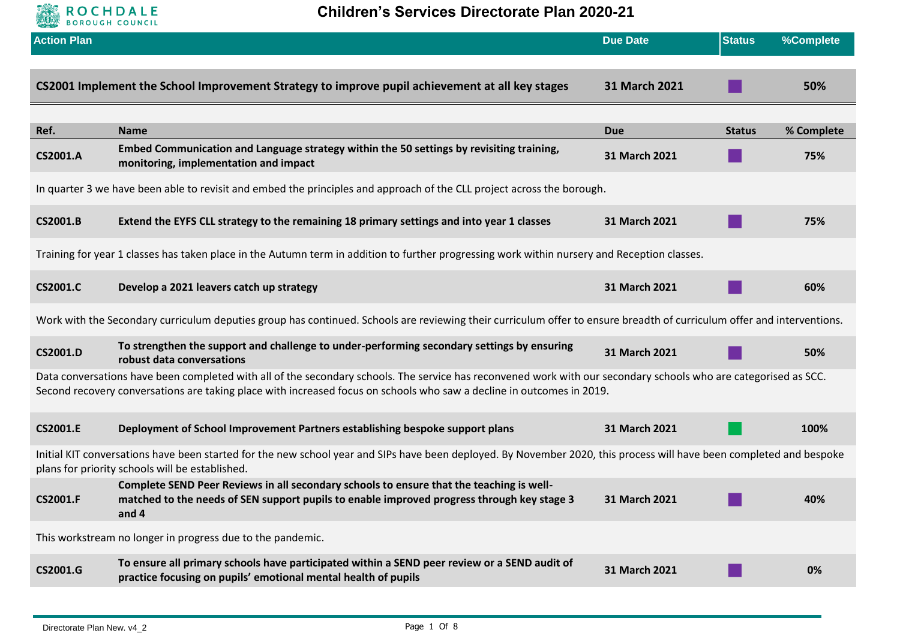

**Children's Services Directorate Plan 2020-21** 

| <b>Action Plan</b>                                                                                                                                                                                                                                                                        |                                                                                                                                                                                                 | <b>Due Date</b> | <b>Status</b> | %Complete  |
|-------------------------------------------------------------------------------------------------------------------------------------------------------------------------------------------------------------------------------------------------------------------------------------------|-------------------------------------------------------------------------------------------------------------------------------------------------------------------------------------------------|-----------------|---------------|------------|
|                                                                                                                                                                                                                                                                                           | CS2001 Implement the School Improvement Strategy to improve pupil achievement at all key stages                                                                                                 | 31 March 2021   |               | 50%        |
| Ref.                                                                                                                                                                                                                                                                                      | <b>Name</b>                                                                                                                                                                                     | <b>Due</b>      | <b>Status</b> | % Complete |
| <b>CS2001.A</b>                                                                                                                                                                                                                                                                           | Embed Communication and Language strategy within the 50 settings by revisiting training,<br>monitoring, implementation and impact                                                               | 31 March 2021   |               | 75%        |
|                                                                                                                                                                                                                                                                                           | In quarter 3 we have been able to revisit and embed the principles and approach of the CLL project across the borough.                                                                          |                 |               |            |
| <b>CS2001.B</b>                                                                                                                                                                                                                                                                           | Extend the EYFS CLL strategy to the remaining 18 primary settings and into year 1 classes                                                                                                       | 31 March 2021   |               | 75%        |
|                                                                                                                                                                                                                                                                                           | Training for year 1 classes has taken place in the Autumn term in addition to further progressing work within nursery and Reception classes.                                                    |                 |               |            |
| <b>CS2001.C</b>                                                                                                                                                                                                                                                                           | Develop a 2021 leavers catch up strategy                                                                                                                                                        | 31 March 2021   |               | 60%        |
|                                                                                                                                                                                                                                                                                           | Work with the Secondary curriculum deputies group has continued. Schools are reviewing their curriculum offer to ensure breadth of curriculum offer and interventions.                          |                 |               |            |
| CS2001.D                                                                                                                                                                                                                                                                                  | To strengthen the support and challenge to under-performing secondary settings by ensuring<br>robust data conversations                                                                         | 31 March 2021   |               | 50%        |
| Data conversations have been completed with all of the secondary schools. The service has reconvened work with our secondary schools who are categorised as SCC.<br>Second recovery conversations are taking place with increased focus on schools who saw a decline in outcomes in 2019. |                                                                                                                                                                                                 |                 |               |            |
| <b>CS2001.E</b>                                                                                                                                                                                                                                                                           | Deployment of School Improvement Partners establishing bespoke support plans                                                                                                                    | 31 March 2021   |               | 100%       |
| Initial KIT conversations have been started for the new school year and SIPs have been deployed. By November 2020, this process will have been completed and bespoke<br>plans for priority schools will be established.                                                                   |                                                                                                                                                                                                 |                 |               |            |
| <b>CS2001.F</b>                                                                                                                                                                                                                                                                           | Complete SEND Peer Reviews in all secondary schools to ensure that the teaching is well-<br>matched to the needs of SEN support pupils to enable improved progress through key stage 3<br>and 4 | 31 March 2021   |               | 40%        |
| This workstream no longer in progress due to the pandemic.                                                                                                                                                                                                                                |                                                                                                                                                                                                 |                 |               |            |
| CS2001.G                                                                                                                                                                                                                                                                                  | To ensure all primary schools have participated within a SEND peer review or a SEND audit of<br>practice focusing on pupils' emotional mental health of pupils                                  | 31 March 2021   |               | 0%         |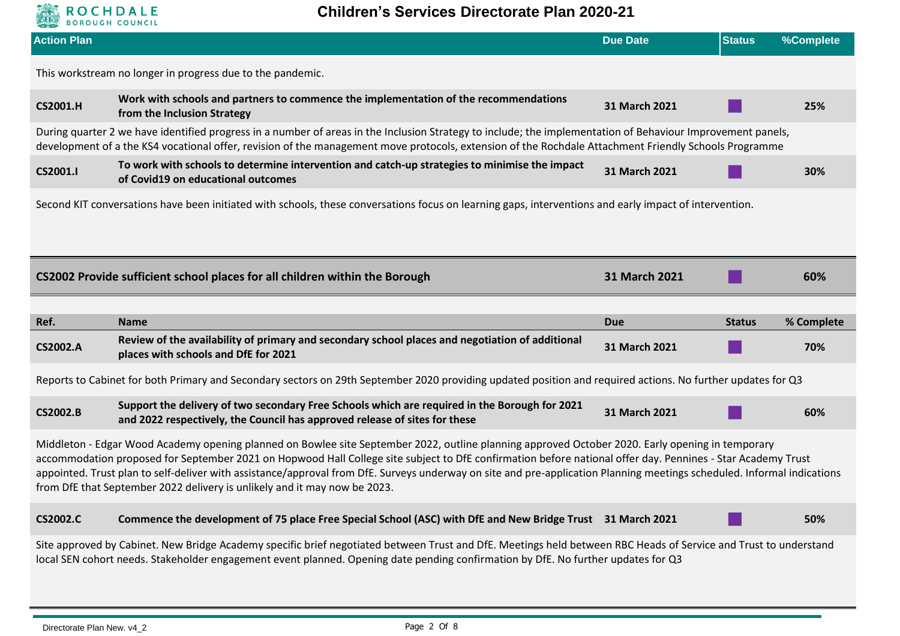

| <b>Action Plan</b>                                                                                                                                                                                                                                                                                                                                                                                                                                                                                                                                                      |                                                                                                                                                                                                                                                                                                                      | <b>Due Date</b> | <b>Status</b> | %Complete  |  |
|-------------------------------------------------------------------------------------------------------------------------------------------------------------------------------------------------------------------------------------------------------------------------------------------------------------------------------------------------------------------------------------------------------------------------------------------------------------------------------------------------------------------------------------------------------------------------|----------------------------------------------------------------------------------------------------------------------------------------------------------------------------------------------------------------------------------------------------------------------------------------------------------------------|-----------------|---------------|------------|--|
|                                                                                                                                                                                                                                                                                                                                                                                                                                                                                                                                                                         | This workstream no longer in progress due to the pandemic.                                                                                                                                                                                                                                                           |                 |               |            |  |
| <b>CS2001.H</b>                                                                                                                                                                                                                                                                                                                                                                                                                                                                                                                                                         | Work with schools and partners to commence the implementation of the recommendations<br>from the Inclusion Strategy                                                                                                                                                                                                  | 31 March 2021   |               | 25%        |  |
|                                                                                                                                                                                                                                                                                                                                                                                                                                                                                                                                                                         | During quarter 2 we have identified progress in a number of areas in the Inclusion Strategy to include; the implementation of Behaviour Improvement panels,<br>development of a the KS4 vocational offer, revision of the management move protocols, extension of the Rochdale Attachment Friendly Schools Programme |                 |               |            |  |
| CS2001.I                                                                                                                                                                                                                                                                                                                                                                                                                                                                                                                                                                | To work with schools to determine intervention and catch-up strategies to minimise the impact<br>of Covid19 on educational outcomes                                                                                                                                                                                  | 31 March 2021   |               | 30%        |  |
|                                                                                                                                                                                                                                                                                                                                                                                                                                                                                                                                                                         | Second KIT conversations have been initiated with schools, these conversations focus on learning gaps, interventions and early impact of intervention.                                                                                                                                                               |                 |               |            |  |
|                                                                                                                                                                                                                                                                                                                                                                                                                                                                                                                                                                         |                                                                                                                                                                                                                                                                                                                      |                 |               |            |  |
|                                                                                                                                                                                                                                                                                                                                                                                                                                                                                                                                                                         | CS2002 Provide sufficient school places for all children within the Borough                                                                                                                                                                                                                                          | 31 March 2021   |               | 60%        |  |
| Ref.                                                                                                                                                                                                                                                                                                                                                                                                                                                                                                                                                                    | <b>Name</b>                                                                                                                                                                                                                                                                                                          | <b>Due</b>      | <b>Status</b> | % Complete |  |
| <b>CS2002.A</b>                                                                                                                                                                                                                                                                                                                                                                                                                                                                                                                                                         | Review of the availability of primary and secondary school places and negotiation of additional<br>places with schools and DfE for 2021                                                                                                                                                                              | 31 March 2021   |               | 70%        |  |
|                                                                                                                                                                                                                                                                                                                                                                                                                                                                                                                                                                         | Reports to Cabinet for both Primary and Secondary sectors on 29th September 2020 providing updated position and required actions. No further updates for Q3                                                                                                                                                          |                 |               |            |  |
| <b>CS2002.B</b>                                                                                                                                                                                                                                                                                                                                                                                                                                                                                                                                                         | Support the delivery of two secondary Free Schools which are required in the Borough for 2021<br>and 2022 respectively, the Council has approved release of sites for these                                                                                                                                          | 31 March 2021   |               | 60%        |  |
| Middleton - Edgar Wood Academy opening planned on Bowlee site September 2022, outline planning approved October 2020. Early opening in temporary<br>accommodation proposed for September 2021 on Hopwood Hall College site subject to DfE confirmation before national offer day. Pennines - Star Academy Trust<br>appointed. Trust plan to self-deliver with assistance/approval from DfE. Surveys underway on site and pre-application Planning meetings scheduled. Informal indications<br>from DfE that September 2022 delivery is unlikely and it may now be 2023. |                                                                                                                                                                                                                                                                                                                      |                 |               |            |  |
| <b>CS2002.C</b>                                                                                                                                                                                                                                                                                                                                                                                                                                                                                                                                                         | Commence the development of 75 place Free Special School (ASC) with DfE and New Bridge Trust 31 March 2021                                                                                                                                                                                                           |                 |               | 50%        |  |
|                                                                                                                                                                                                                                                                                                                                                                                                                                                                                                                                                                         | Site approved by Cabinet. New Bridge Academy specific brief negotiated between Trust and DfE. Meetings held between RBC Heads of Service and Trust to understand<br>local SEN cohort needs. Stakeholder engagement event planned. Opening date pending confirmation by DfE. No further updates for Q3                |                 |               |            |  |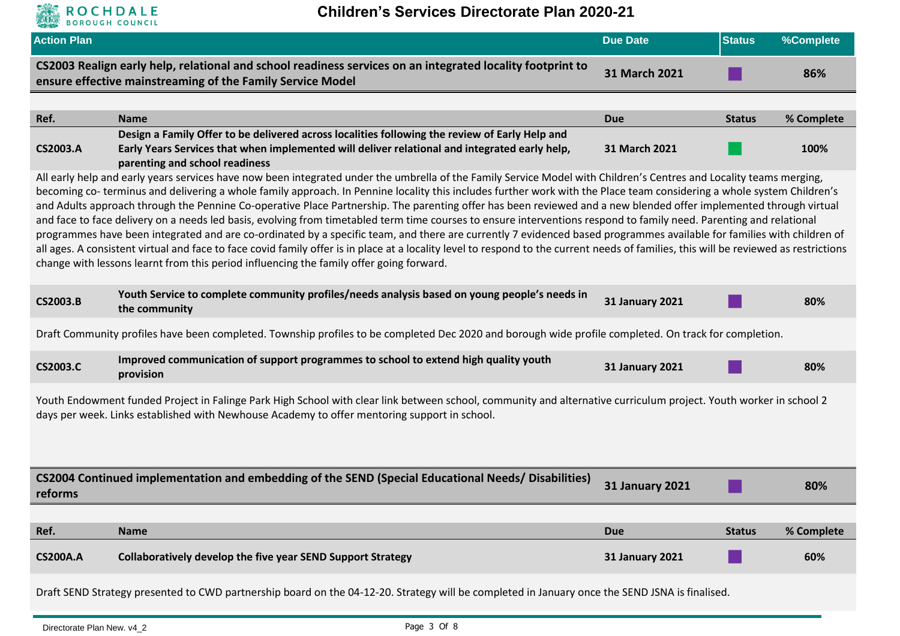

| <b>Action Plan</b>                                                                                                                                                                                                                                                |                                                                                                                                                                                                                                                                                                                                                                                                                                                                                                                                                                                                                                                                                                                                                                                                                                                                                                                                                                                                                                                                                                                                                       | <b>Due Date</b>        | <b>Status</b> | %Complete  |  |
|-------------------------------------------------------------------------------------------------------------------------------------------------------------------------------------------------------------------------------------------------------------------|-------------------------------------------------------------------------------------------------------------------------------------------------------------------------------------------------------------------------------------------------------------------------------------------------------------------------------------------------------------------------------------------------------------------------------------------------------------------------------------------------------------------------------------------------------------------------------------------------------------------------------------------------------------------------------------------------------------------------------------------------------------------------------------------------------------------------------------------------------------------------------------------------------------------------------------------------------------------------------------------------------------------------------------------------------------------------------------------------------------------------------------------------------|------------------------|---------------|------------|--|
|                                                                                                                                                                                                                                                                   | CS2003 Realign early help, relational and school readiness services on an integrated locality footprint to<br>ensure effective mainstreaming of the Family Service Model                                                                                                                                                                                                                                                                                                                                                                                                                                                                                                                                                                                                                                                                                                                                                                                                                                                                                                                                                                              | 31 March 2021          |               | 86%        |  |
|                                                                                                                                                                                                                                                                   |                                                                                                                                                                                                                                                                                                                                                                                                                                                                                                                                                                                                                                                                                                                                                                                                                                                                                                                                                                                                                                                                                                                                                       |                        |               |            |  |
| Ref.                                                                                                                                                                                                                                                              | <b>Name</b>                                                                                                                                                                                                                                                                                                                                                                                                                                                                                                                                                                                                                                                                                                                                                                                                                                                                                                                                                                                                                                                                                                                                           | <b>Due</b>             | <b>Status</b> | % Complete |  |
| <b>CS2003.A</b>                                                                                                                                                                                                                                                   | Design a Family Offer to be delivered across localities following the review of Early Help and<br>Early Years Services that when implemented will deliver relational and integrated early help,<br>parenting and school readiness                                                                                                                                                                                                                                                                                                                                                                                                                                                                                                                                                                                                                                                                                                                                                                                                                                                                                                                     | 31 March 2021          |               | 100%       |  |
|                                                                                                                                                                                                                                                                   | All early help and early years services have now been integrated under the umbrella of the Family Service Model with Children's Centres and Locality teams merging,<br>becoming co-terminus and delivering a whole family approach. In Pennine locality this includes further work with the Place team considering a whole system Children's<br>and Adults approach through the Pennine Co-operative Place Partnership. The parenting offer has been reviewed and a new blended offer implemented through virtual<br>and face to face delivery on a needs led basis, evolving from timetabled term time courses to ensure interventions respond to family need. Parenting and relational<br>programmes have been integrated and are co-ordinated by a specific team, and there are currently 7 evidenced based programmes available for families with children of<br>all ages. A consistent virtual and face to face covid family offer is in place at a locality level to respond to the current needs of families, this will be reviewed as restrictions<br>change with lessons learnt from this period influencing the family offer going forward. |                        |               |            |  |
| <b>CS2003.B</b>                                                                                                                                                                                                                                                   | Youth Service to complete community profiles/needs analysis based on young people's needs in<br>the community                                                                                                                                                                                                                                                                                                                                                                                                                                                                                                                                                                                                                                                                                                                                                                                                                                                                                                                                                                                                                                         | <b>31 January 2021</b> |               | 80%        |  |
|                                                                                                                                                                                                                                                                   | Draft Community profiles have been completed. Township profiles to be completed Dec 2020 and borough wide profile completed. On track for completion.                                                                                                                                                                                                                                                                                                                                                                                                                                                                                                                                                                                                                                                                                                                                                                                                                                                                                                                                                                                                 |                        |               |            |  |
| <b>CS2003.C</b>                                                                                                                                                                                                                                                   | Improved communication of support programmes to school to extend high quality youth<br>provision                                                                                                                                                                                                                                                                                                                                                                                                                                                                                                                                                                                                                                                                                                                                                                                                                                                                                                                                                                                                                                                      | <b>31 January 2021</b> |               | 80%        |  |
| Youth Endowment funded Project in Falinge Park High School with clear link between school, community and alternative curriculum project. Youth worker in school 2<br>days per week. Links established with Newhouse Academy to offer mentoring support in school. |                                                                                                                                                                                                                                                                                                                                                                                                                                                                                                                                                                                                                                                                                                                                                                                                                                                                                                                                                                                                                                                                                                                                                       |                        |               |            |  |
| reforms                                                                                                                                                                                                                                                           | CS2004 Continued implementation and embedding of the SEND (Special Educational Needs/ Disabilities)                                                                                                                                                                                                                                                                                                                                                                                                                                                                                                                                                                                                                                                                                                                                                                                                                                                                                                                                                                                                                                                   | <b>31 January 2021</b> |               | 80%        |  |
| Ref.                                                                                                                                                                                                                                                              | <b>Name</b>                                                                                                                                                                                                                                                                                                                                                                                                                                                                                                                                                                                                                                                                                                                                                                                                                                                                                                                                                                                                                                                                                                                                           | <b>Due</b>             | <b>Status</b> | % Complete |  |
| <b>CS200A.A</b>                                                                                                                                                                                                                                                   | Collaboratively develop the five year SEND Support Strategy                                                                                                                                                                                                                                                                                                                                                                                                                                                                                                                                                                                                                                                                                                                                                                                                                                                                                                                                                                                                                                                                                           | <b>31 January 2021</b> |               | 60%        |  |
|                                                                                                                                                                                                                                                                   | Draft SEND Strategy presented to CWD partnership board on the 04-12-20. Strategy will be completed in January once the SEND JSNA is finalised.                                                                                                                                                                                                                                                                                                                                                                                                                                                                                                                                                                                                                                                                                                                                                                                                                                                                                                                                                                                                        |                        |               |            |  |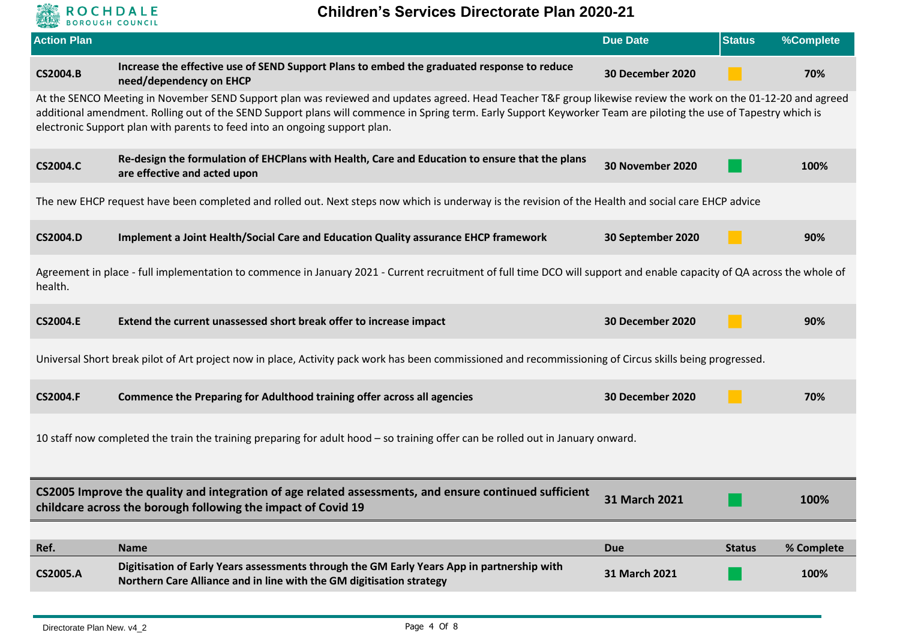

| <b>Action Plan</b> |                                                                                                                                                                                                                                                                                                                                                                                                                  | <b>Due Date</b>         | <b>Status</b> | %Complete  |  |  |
|--------------------|------------------------------------------------------------------------------------------------------------------------------------------------------------------------------------------------------------------------------------------------------------------------------------------------------------------------------------------------------------------------------------------------------------------|-------------------------|---------------|------------|--|--|
| <b>CS2004.B</b>    | Increase the effective use of SEND Support Plans to embed the graduated response to reduce<br>need/dependency on EHCP                                                                                                                                                                                                                                                                                            | <b>30 December 2020</b> |               | 70%        |  |  |
|                    | At the SENCO Meeting in November SEND Support plan was reviewed and updates agreed. Head Teacher T&F group likewise review the work on the 01-12-20 and agreed<br>additional amendment. Rolling out of the SEND Support plans will commence in Spring term. Early Support Keyworker Team are piloting the use of Tapestry which is<br>electronic Support plan with parents to feed into an ongoing support plan. |                         |               |            |  |  |
| <b>CS2004.C</b>    | Re-design the formulation of EHCPlans with Health, Care and Education to ensure that the plans<br>are effective and acted upon                                                                                                                                                                                                                                                                                   | 30 November 2020        |               | 100%       |  |  |
|                    | The new EHCP request have been completed and rolled out. Next steps now which is underway is the revision of the Health and social care EHCP advice                                                                                                                                                                                                                                                              |                         |               |            |  |  |
| <b>CS2004.D</b>    | Implement a Joint Health/Social Care and Education Quality assurance EHCP framework                                                                                                                                                                                                                                                                                                                              | 30 September 2020       |               | 90%        |  |  |
| health.            | Agreement in place - full implementation to commence in January 2021 - Current recruitment of full time DCO will support and enable capacity of QA across the whole of                                                                                                                                                                                                                                           |                         |               |            |  |  |
| <b>CS2004.E</b>    | Extend the current unassessed short break offer to increase impact                                                                                                                                                                                                                                                                                                                                               | 30 December 2020        |               | 90%        |  |  |
|                    | Universal Short break pilot of Art project now in place, Activity pack work has been commissioned and recommissioning of Circus skills being progressed.                                                                                                                                                                                                                                                         |                         |               |            |  |  |
| <b>CS2004.F</b>    | Commence the Preparing for Adulthood training offer across all agencies                                                                                                                                                                                                                                                                                                                                          | 30 December 2020        |               | 70%        |  |  |
|                    | 10 staff now completed the train the training preparing for adult hood - so training offer can be rolled out in January onward.                                                                                                                                                                                                                                                                                  |                         |               |            |  |  |
|                    | CS2005 Improve the quality and integration of age related assessments, and ensure continued sufficient<br>childcare across the borough following the impact of Covid 19                                                                                                                                                                                                                                          | 31 March 2021           |               | 100%       |  |  |
| Ref.               | <b>Name</b>                                                                                                                                                                                                                                                                                                                                                                                                      | <b>Due</b>              | <b>Status</b> | % Complete |  |  |
| <b>CS2005.A</b>    | Digitisation of Early Years assessments through the GM Early Years App in partnership with<br>Northern Care Alliance and in line with the GM digitisation strategy                                                                                                                                                                                                                                               | 31 March 2021           |               | 100%       |  |  |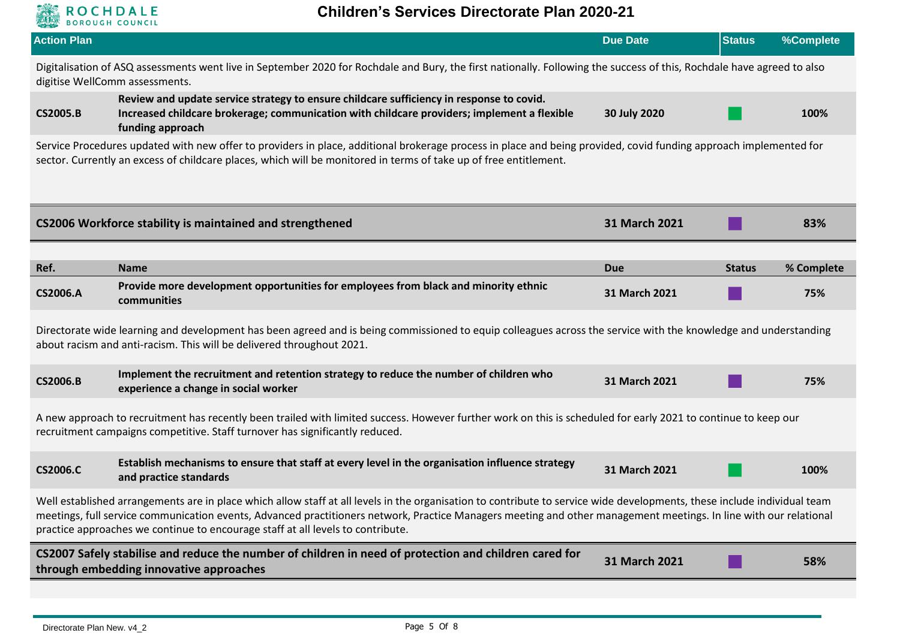

| digitise WellComm assessments.<br><b>CS2005.B</b><br>funding approach<br>CS2006 Workforce stability is maintained and strengthened<br>Ref.<br><b>Name</b><br><b>CS2006.A</b><br>communities<br><b>CS2006.B</b><br>experience a change in social worker<br><b>CS2006.C</b><br>and practice standards | Digitalisation of ASQ assessments went live in September 2020 for Rochdale and Bury, the first nationally. Following the success of this, Rochdale have agreed to also<br>Review and update service strategy to ensure childcare sufficiency in response to covid.<br>Increased childcare brokerage; communication with childcare providers; implement a flexible | 30 July 2020  |               |            |  |  |
|-----------------------------------------------------------------------------------------------------------------------------------------------------------------------------------------------------------------------------------------------------------------------------------------------------|-------------------------------------------------------------------------------------------------------------------------------------------------------------------------------------------------------------------------------------------------------------------------------------------------------------------------------------------------------------------|---------------|---------------|------------|--|--|
|                                                                                                                                                                                                                                                                                                     |                                                                                                                                                                                                                                                                                                                                                                   |               |               |            |  |  |
|                                                                                                                                                                                                                                                                                                     |                                                                                                                                                                                                                                                                                                                                                                   |               |               | 100%       |  |  |
|                                                                                                                                                                                                                                                                                                     | Service Procedures updated with new offer to providers in place, additional brokerage process in place and being provided, covid funding approach implemented for<br>sector. Currently an excess of childcare places, which will be monitored in terms of take up of free entitlement.                                                                            |               |               |            |  |  |
|                                                                                                                                                                                                                                                                                                     |                                                                                                                                                                                                                                                                                                                                                                   | 31 March 2021 |               | 83%        |  |  |
|                                                                                                                                                                                                                                                                                                     |                                                                                                                                                                                                                                                                                                                                                                   | <b>Due</b>    | <b>Status</b> | % Complete |  |  |
|                                                                                                                                                                                                                                                                                                     | Provide more development opportunities for employees from black and minority ethnic                                                                                                                                                                                                                                                                               | 31 March 2021 |               | 75%        |  |  |
|                                                                                                                                                                                                                                                                                                     | Directorate wide learning and development has been agreed and is being commissioned to equip colleagues across the service with the knowledge and understanding<br>about racism and anti-racism. This will be delivered throughout 2021.                                                                                                                          |               |               |            |  |  |
|                                                                                                                                                                                                                                                                                                     | Implement the recruitment and retention strategy to reduce the number of children who                                                                                                                                                                                                                                                                             | 31 March 2021 |               | 75%        |  |  |
|                                                                                                                                                                                                                                                                                                     | A new approach to recruitment has recently been trailed with limited success. However further work on this is scheduled for early 2021 to continue to keep our<br>recruitment campaigns competitive. Staff turnover has significantly reduced.                                                                                                                    |               |               |            |  |  |
|                                                                                                                                                                                                                                                                                                     | Establish mechanisms to ensure that staff at every level in the organisation influence strategy                                                                                                                                                                                                                                                                   | 31 March 2021 |               | 100%       |  |  |
| practice approaches we continue to encourage staff at all levels to contribute.                                                                                                                                                                                                                     |                                                                                                                                                                                                                                                                                                                                                                   |               |               |            |  |  |
| CS2007 Safely stabilise and reduce the number of children in need of protection and children cared for<br>through embedding innovative approaches                                                                                                                                                   | Well established arrangements are in place which allow staff at all levels in the organisation to contribute to service wide developments, these include individual team<br>meetings, full service communication events, Advanced practitioners network, Practice Managers meeting and other management meetings. In line with our relational                     |               |               |            |  |  |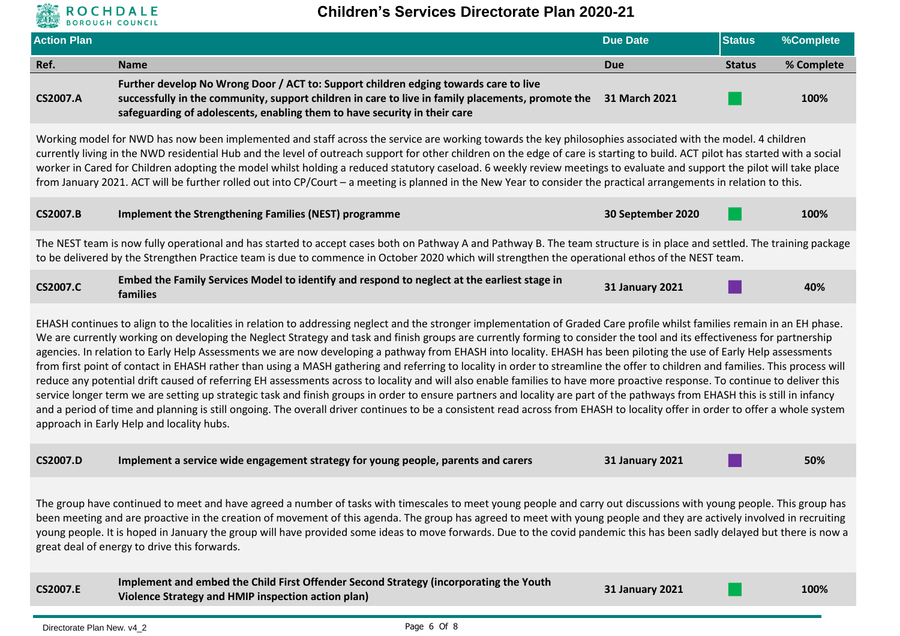# **ROCHDALE**

| <b>Action Plan</b>                                                                                                                                                                                                                                                                                                                                                                                                                                                                                                                                                       |                                                                                                                                                                                                                                                                                                                                                                                                                                                                                                                                                                                                                                                                                                                                                                                                                                                                                                                                                                                                                                                                                                                                                                                                                                                                                                             | <b>Due Date</b>        | <b>Status</b> | %Complete  |  |  |
|--------------------------------------------------------------------------------------------------------------------------------------------------------------------------------------------------------------------------------------------------------------------------------------------------------------------------------------------------------------------------------------------------------------------------------------------------------------------------------------------------------------------------------------------------------------------------|-------------------------------------------------------------------------------------------------------------------------------------------------------------------------------------------------------------------------------------------------------------------------------------------------------------------------------------------------------------------------------------------------------------------------------------------------------------------------------------------------------------------------------------------------------------------------------------------------------------------------------------------------------------------------------------------------------------------------------------------------------------------------------------------------------------------------------------------------------------------------------------------------------------------------------------------------------------------------------------------------------------------------------------------------------------------------------------------------------------------------------------------------------------------------------------------------------------------------------------------------------------------------------------------------------------|------------------------|---------------|------------|--|--|
| Ref.                                                                                                                                                                                                                                                                                                                                                                                                                                                                                                                                                                     | <b>Name</b>                                                                                                                                                                                                                                                                                                                                                                                                                                                                                                                                                                                                                                                                                                                                                                                                                                                                                                                                                                                                                                                                                                                                                                                                                                                                                                 | <b>Due</b>             | <b>Status</b> | % Complete |  |  |
| <b>CS2007.A</b>                                                                                                                                                                                                                                                                                                                                                                                                                                                                                                                                                          | Further develop No Wrong Door / ACT to: Support children edging towards care to live<br>successfully in the community, support children in care to live in family placements, promote the<br>safeguarding of adolescents, enabling them to have security in their care                                                                                                                                                                                                                                                                                                                                                                                                                                                                                                                                                                                                                                                                                                                                                                                                                                                                                                                                                                                                                                      | 31 March 2021          |               | 100%       |  |  |
|                                                                                                                                                                                                                                                                                                                                                                                                                                                                                                                                                                          | Working model for NWD has now been implemented and staff across the service are working towards the key philosophies associated with the model. 4 children<br>currently living in the NWD residential Hub and the level of outreach support for other children on the edge of care is starting to build. ACT pilot has started with a social<br>worker in Cared for Children adopting the model whilst holding a reduced statutory caseload. 6 weekly review meetings to evaluate and support the pilot will take place<br>from January 2021. ACT will be further rolled out into CP/Court - a meeting is planned in the New Year to consider the practical arrangements in relation to this.                                                                                                                                                                                                                                                                                                                                                                                                                                                                                                                                                                                                               |                        |               |            |  |  |
| <b>CS2007.B</b>                                                                                                                                                                                                                                                                                                                                                                                                                                                                                                                                                          | <b>Implement the Strengthening Families (NEST) programme</b>                                                                                                                                                                                                                                                                                                                                                                                                                                                                                                                                                                                                                                                                                                                                                                                                                                                                                                                                                                                                                                                                                                                                                                                                                                                | 30 September 2020      |               | 100%       |  |  |
|                                                                                                                                                                                                                                                                                                                                                                                                                                                                                                                                                                          | The NEST team is now fully operational and has started to accept cases both on Pathway A and Pathway B. The team structure is in place and settled. The training package<br>to be delivered by the Strengthen Practice team is due to commence in October 2020 which will strengthen the operational ethos of the NEST team.                                                                                                                                                                                                                                                                                                                                                                                                                                                                                                                                                                                                                                                                                                                                                                                                                                                                                                                                                                                |                        |               |            |  |  |
| <b>CS2007.C</b>                                                                                                                                                                                                                                                                                                                                                                                                                                                                                                                                                          | Embed the Family Services Model to identify and respond to neglect at the earliest stage in<br>families                                                                                                                                                                                                                                                                                                                                                                                                                                                                                                                                                                                                                                                                                                                                                                                                                                                                                                                                                                                                                                                                                                                                                                                                     | <b>31 January 2021</b> |               | 40%        |  |  |
|                                                                                                                                                                                                                                                                                                                                                                                                                                                                                                                                                                          | EHASH continues to align to the localities in relation to addressing neglect and the stronger implementation of Graded Care profile whilst families remain in an EH phase.<br>We are currently working on developing the Neglect Strategy and task and finish groups are currently forming to consider the tool and its effectiveness for partnership<br>agencies. In relation to Early Help Assessments we are now developing a pathway from EHASH into locality. EHASH has been piloting the use of Early Help assessments<br>from first point of contact in EHASH rather than using a MASH gathering and referring to locality in order to streamline the offer to children and families. This process will<br>reduce any potential drift caused of referring EH assessments across to locality and will also enable families to have more proactive response. To continue to deliver this<br>service longer term we are setting up strategic task and finish groups in order to ensure partners and locality are part of the pathways from EHASH this is still in infancy<br>and a period of time and planning is still ongoing. The overall driver continues to be a consistent read across from EHASH to locality offer in order to offer a whole system<br>approach in Early Help and locality hubs. |                        |               |            |  |  |
| <b>CS2007.D</b>                                                                                                                                                                                                                                                                                                                                                                                                                                                                                                                                                          | Implement a service wide engagement strategy for young people, parents and carers                                                                                                                                                                                                                                                                                                                                                                                                                                                                                                                                                                                                                                                                                                                                                                                                                                                                                                                                                                                                                                                                                                                                                                                                                           | <b>31 January 2021</b> |               | 50%        |  |  |
| The group have continued to meet and have agreed a number of tasks with timescales to meet young people and carry out discussions with young people. This group has<br>been meeting and are proactive in the creation of movement of this agenda. The group has agreed to meet with young people and they are actively involved in recruiting<br>young people. It is hoped in January the group will have provided some ideas to move forwards. Due to the covid pandemic this has been sadly delayed but there is now a<br>great deal of energy to drive this forwards. |                                                                                                                                                                                                                                                                                                                                                                                                                                                                                                                                                                                                                                                                                                                                                                                                                                                                                                                                                                                                                                                                                                                                                                                                                                                                                                             |                        |               |            |  |  |
| <b>CS2007.E</b>                                                                                                                                                                                                                                                                                                                                                                                                                                                                                                                                                          | Implement and embed the Child First Offender Second Strategy (incorporating the Youth<br>Violence Strategy and HMIP inspection action plan)                                                                                                                                                                                                                                                                                                                                                                                                                                                                                                                                                                                                                                                                                                                                                                                                                                                                                                                                                                                                                                                                                                                                                                 | <b>31 January 2021</b> |               | 100%       |  |  |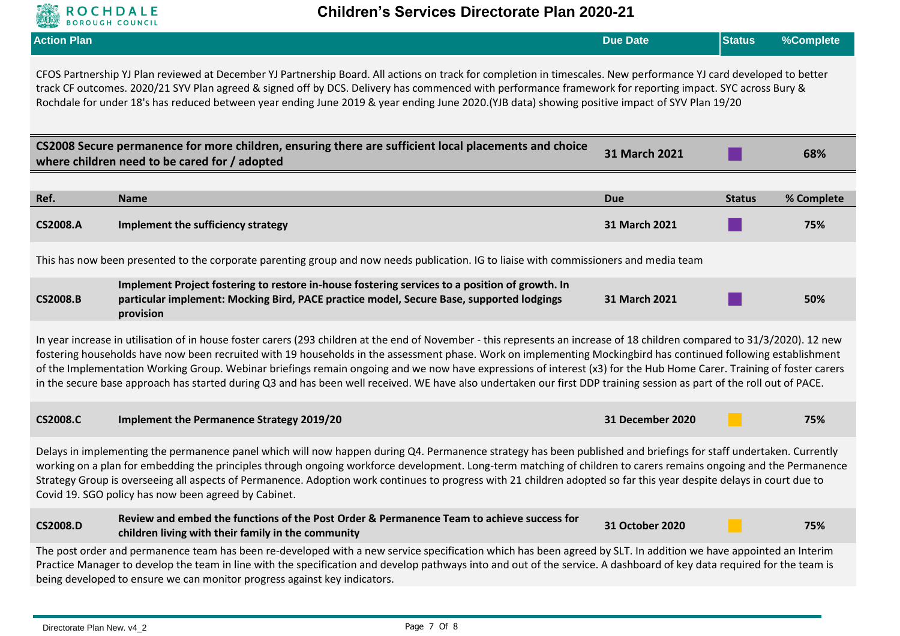

|                                                                                                                                                                                                                                                                                                                                                                                                                                                                                                                                                                                                                                                                                                | <b>DONOOOH COONCIL</b>                                                                                                                                                                                  |                  |               |            |  |
|------------------------------------------------------------------------------------------------------------------------------------------------------------------------------------------------------------------------------------------------------------------------------------------------------------------------------------------------------------------------------------------------------------------------------------------------------------------------------------------------------------------------------------------------------------------------------------------------------------------------------------------------------------------------------------------------|---------------------------------------------------------------------------------------------------------------------------------------------------------------------------------------------------------|------------------|---------------|------------|--|
| <b>Action Plan</b>                                                                                                                                                                                                                                                                                                                                                                                                                                                                                                                                                                                                                                                                             |                                                                                                                                                                                                         | <b>Due Date</b>  | <b>Status</b> | %Complete  |  |
| CFOS Partnership YJ Plan reviewed at December YJ Partnership Board. All actions on track for completion in timescales. New performance YJ card developed to better<br>track CF outcomes. 2020/21 SYV Plan agreed & signed off by DCS. Delivery has commenced with performance framework for reporting impact. SYC across Bury &<br>Rochdale for under 18's has reduced between year ending June 2019 & year ending June 2020. (YJB data) showing positive impact of SYV Plan 19/20                                                                                                                                                                                                             |                                                                                                                                                                                                         |                  |               |            |  |
|                                                                                                                                                                                                                                                                                                                                                                                                                                                                                                                                                                                                                                                                                                | CS2008 Secure permanence for more children, ensuring there are sufficient local placements and choice<br>where children need to be cared for / adopted                                                  | 31 March 2021    |               | 68%        |  |
|                                                                                                                                                                                                                                                                                                                                                                                                                                                                                                                                                                                                                                                                                                |                                                                                                                                                                                                         |                  |               |            |  |
| Ref.                                                                                                                                                                                                                                                                                                                                                                                                                                                                                                                                                                                                                                                                                           | <b>Name</b>                                                                                                                                                                                             | <b>Due</b>       | <b>Status</b> | % Complete |  |
| <b>CS2008.A</b>                                                                                                                                                                                                                                                                                                                                                                                                                                                                                                                                                                                                                                                                                | Implement the sufficiency strategy                                                                                                                                                                      | 31 March 2021    |               | 75%        |  |
|                                                                                                                                                                                                                                                                                                                                                                                                                                                                                                                                                                                                                                                                                                | This has now been presented to the corporate parenting group and now needs publication. IG to liaise with commissioners and media team                                                                  |                  |               |            |  |
| <b>CS2008.B</b>                                                                                                                                                                                                                                                                                                                                                                                                                                                                                                                                                                                                                                                                                | Implement Project fostering to restore in-house fostering services to a position of growth. In<br>particular implement: Mocking Bird, PACE practice model, Secure Base, supported lodgings<br>provision | 31 March 2021    |               | 50%        |  |
| In year increase in utilisation of in house foster carers (293 children at the end of November - this represents an increase of 18 children compared to 31/3/2020). 12 new<br>fostering households have now been recruited with 19 households in the assessment phase. Work on implementing Mockingbird has continued following establishment<br>of the Implementation Working Group. Webinar briefings remain ongoing and we now have expressions of interest (x3) for the Hub Home Carer. Training of foster carers<br>in the secure base approach has started during Q3 and has been well received. WE have also undertaken our first DDP training session as part of the roll out of PACE. |                                                                                                                                                                                                         |                  |               |            |  |
| <b>CS2008.C</b>                                                                                                                                                                                                                                                                                                                                                                                                                                                                                                                                                                                                                                                                                | <b>Implement the Permanence Strategy 2019/20</b>                                                                                                                                                        | 31 December 2020 |               | 75%        |  |
| Delays in implementing the permanence panel which will now happen during Q4. Permanence strategy has been published and briefings for staff undertaken. Currently<br>working on a plan for embedding the principles through ongoing workforce development. Long-term matching of children to carers remains ongoing and the Permanence<br>Strategy Group is overseeing all aspects of Permanence. Adoption work continues to progress with 21 children adopted so far this year despite delays in court due to<br>Covid 19. SGO policy has now been agreed by Cabinet.                                                                                                                         |                                                                                                                                                                                                         |                  |               |            |  |
| <b>CS2008.D</b>                                                                                                                                                                                                                                                                                                                                                                                                                                                                                                                                                                                                                                                                                | Review and embed the functions of the Post Order & Permanence Team to achieve success for<br>children living with their family in the community                                                         | 31 October 2020  |               | 75%        |  |
| The post order and permanence team has been re-developed with a new service specification which has been agreed by SLT. In addition we have appointed an Interim<br>Practice Manager to develop the team in line with the specification and develop pathways into and out of the service. A dashboard of key data required for the team is<br>being developed to ensure we can monitor progress against key indicators.                                                                                                                                                                                                                                                                        |                                                                                                                                                                                                         |                  |               |            |  |